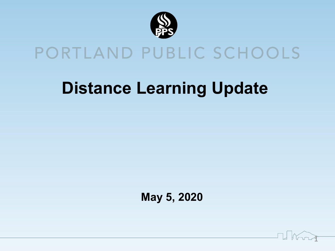

# PORTLAND PUBLIC SCHOOLS

# **Distance Learning Update**

 **May 5, 2020**

 $\mathbf{I}$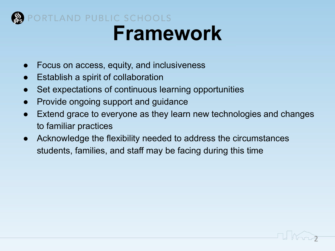

#### PORTLAND PUBLIC SCHOOLS **Framework**

- Focus on access, equity, and inclusiveness
- **Establish a spirit of collaboration**
- Set expectations of continuous learning opportunities
- Provide ongoing support and guidance
- Extend grace to everyone as they learn new technologies and changes to familiar practices

T Kong

● Acknowledge the flexibility needed to address the circumstances students, families, and staff may be facing during this time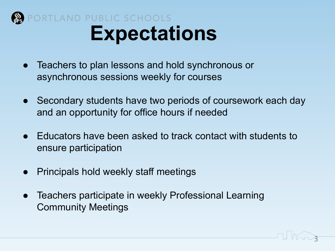

### ORTLAND PUBLIC SCHOOLS **Expectations**

- Teachers to plan lessons and hold synchronous or asynchronous sessions weekly for courses
- Secondary students have two periods of coursework each day and an opportunity for office hours if needed
- Educators have been asked to track contact with students to ensure participation
- **Principals hold weekly staff meetings**
- Teachers participate in weekly Professional Learning Community Meetings

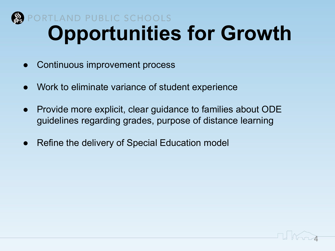

## PORTLAND PUBLIC SCHOOLS **Opportunities for Growth**

- Continuous improvement process
- Work to eliminate variance of student experience
- Provide more explicit, clear guidance to families about ODE guidelines regarding grades, purpose of distance learning
- Refine the delivery of Special Education model